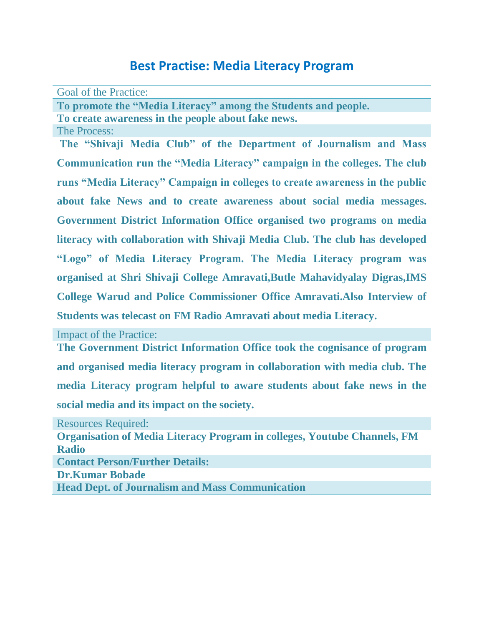## **Best Practise: Media Literacy Program**

Goal of the Practice:

**To promote the "Media Literacy" among the Students and people.**

**To create awareness in the people about fake news.**

The Process:

**The "Shivaji Media Club" of the Department of Journalism and Mass Communication run the "Media Literacy" campaign in the colleges. The club runs "Media Literacy" Campaign in colleges to create awareness in the public about fake News and to create awareness about social media messages. Government District Information Office organised two programs on media literacy with collaboration with Shivaji Media Club. The club has developed "Logo" of Media Literacy Program. The Media Literacy program was organised at Shri Shivaji College Amravati,Butle Mahavidyalay Digras,IMS College Warud and Police Commissioner Office Amravati.Also Interview of Students was telecast on FM Radio Amravati about media Literacy.**

Impact of the Practice:

**The Government District Information Office took the cognisance of program and organised media literacy program in collaboration with media club. The media Literacy program helpful to aware students about fake news in the social media and its impact on the society.**

Resources Required: **Organisation of Media Literacy Program in colleges, Youtube Channels, FM Radio Contact Person/Further Details: Dr.Kumar Bobade Head Dept. of Journalism and Mass Communication**